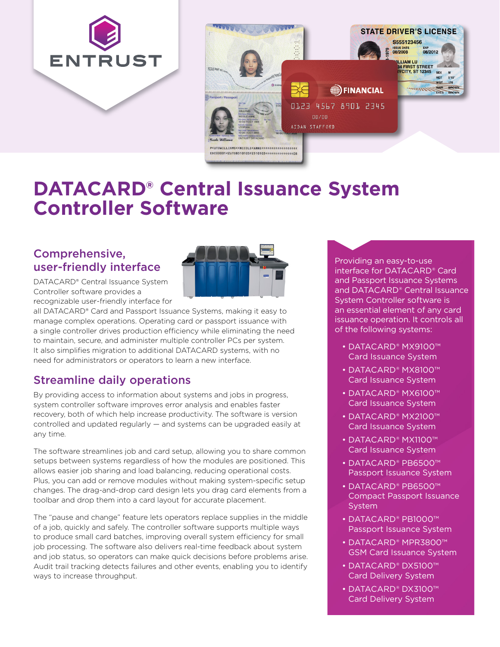



# **DATACARD® Central Issuance System Controller Software**

### Comprehensive, user-friendly interface



DATACARD® Central Issuance System Controller software provides a recognizable user-friendly interface for

all DATACARD® Card and Passport Issuance Systems, making it easy to manage complex operations. Operating card or passport issuance with a single controller drives production efficiency while eliminating the need to maintain, secure, and administer multiple controller PCs per system. It also simplifies migration to additional DATACARD systems, with no need for administrators or operators to learn a new interface.

## Streamline daily operations

By providing access to information about systems and jobs in progress, system controller software improves error analysis and enables faster recovery, both of which help increase productivity. The software is version controlled and updated regularly — and systems can be upgraded easily at any time.

The software streamlines job and card setup, allowing you to share common setups between systems regardless of how the modules are positioned. This allows easier job sharing and load balancing, reducing operational costs. Plus, you can add or remove modules without making system-specific setup changes. The drag-and-drop card design lets you drag card elements from a toolbar and drop them into a card layout for accurate placement.

The "pause and change" feature lets operators replace supplies in the middle of a job, quickly and safely. The controller software supports multiple ways to produce small card batches, improving overall system efficiency for small job processing. The software also delivers real-time feedback about system and job status, so operators can make quick decisions before problems arise. Audit trail tracking detects failures and other events, enabling you to identify ways to increase throughput.

Providing an easy-to-use interface for DATACARD® Card and Passport Issuance Systems and DATACARD® Central Issuance System Controller software is an essential element of any card issuance operation. It controls all of the following systems:

- DATACARD® MX9100™ Card Issuance System
- DATACARD® MX8100™ Card Issuance System
- DATACARD® MX6100™ Card Issuance System
- DATACARD® MX2100™ Card Issuance System
- DATACARD® MX1100™ Card Issuance System
- DATACARD® PB6500™ Passport Issuance System
- DATACARD® PB6500™ Compact Passport Issuance **System**
- DATACARD® PB1000™ Passport Issuance System
- DATACARD® MPR3800™ GSM Card Issuance System
- DATACARD® DX5100™ Card Delivery System
- DATACARD® DX3100™ Card Delivery System